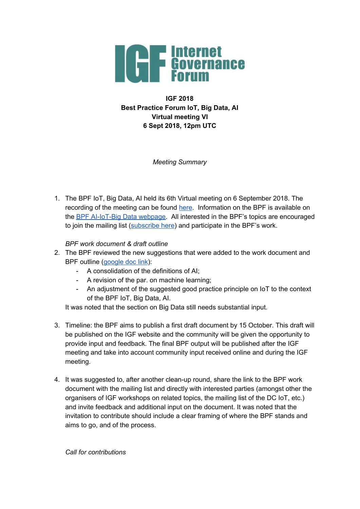

**IGF 2018 Best Practice Forum IoT, Big Data, AI Virtual meeting VI 6 Sept 2018, 12pm UTC**

*Meeting Summary*

1. The BPF IoT, Big Data, AI held its 6th Virtual meeting on 6 September 2018. The recording of the meeting can be found [here](https://intgovforum.webex.com/intgovforum/ldr.php?RCID=8ff888851feeb82187041f2dbc25b91e). Information on the BPF is available on the BPF [AI-IoT-Big](https://www.intgovforum.org/multilingual/content/bpf-artificial-intelligence-ai-internet-of-things-iot-and-big-data) Data webpage. All interested in the BPF's topics are encouraged to join the mailing list ([subscribe](https://intgovforum.org/mailman/listinfo/aiiotbd_intgovforum.org) here) and participate in the BPF's work.

*BPF work document & draft outline*

- 2. The BPF reviewed the new suggestions that were added to the work document and BPF outline ([google](https://docs.google.com/document/d/1C0uuvsSOfYGkAadnEaH53DpEONOg8GozEh8ina6ph7k/edit?usp=sharing) doc link):
	- A consolidation of the definitions of AI;
	- A revision of the par. on machine learning;
	- An adjustment of the suggested good practice principle on IoT to the context of the BPF IoT, Big Data, AI.

It was noted that the section on Big Data still needs substantial input.

- 3. Timeline: the BPF aims to publish a first draft document by 15 October. This draft will be published on the IGF website and the community will be given the opportunity to provide input and feedback. The final BPF output will be published after the IGF meeting and take into account community input received online and during the IGF meeting.
- 4. It was suggested to, after another clean-up round, share the link to the BPF work document with the mailing list and directly with interested parties (amongst other the organisers of IGF workshops on related topics, the mailing list of the DC IoT, etc.) and invite feedback and additional input on the document. It was noted that the invitation to contribute should include a clear framing of where the BPF stands and aims to go, and of the process.

*Call for contributions*